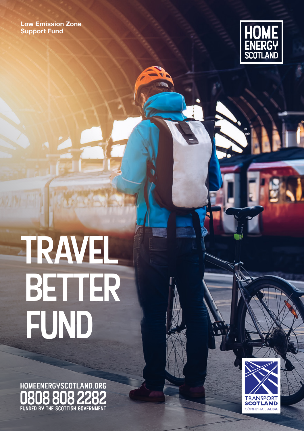**Low Emission Zone Support Fund**



# TRAVEL better **FUND**

HOMEENERGYSCOTLAND.ORG 808 808 2282 FUNDED BY THE SCOTTISH GOVERNMENT

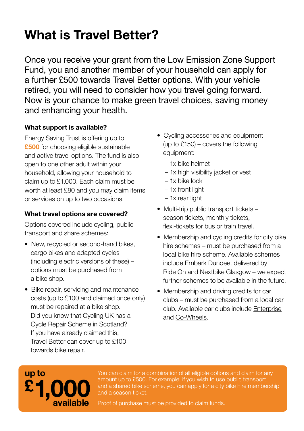## **What is Travel Better?**

Once you receive your grant from the Low Emission Zone Support Fund, you and another member of your household can apply for a further £500 towards Travel Better options. With your vehicle retired, you will need to consider how you travel going forward. Now is your chance to make green travel choices, saving money and enhancing your health.

#### **What support is available?**

Energy Saving Trust is offering up to **£500** for choosing eligible sustainable and active travel options. The fund is also open to one other adult within your household, allowing your household to claim up to £1,000. Each claim must be worth at least £80 and you may claim items or services on up to two occasions.

#### **What travel options are covered?**

Options covered include cycling, public transport and share schemes:

- New, recycled or second-hand bikes, cargo bikes and adapted cycles (including electric versions of these) – options must be purchased from a bike shop.
- Bike repair, servicing and maintenance costs (up to £100 and claimed once only) must be repaired at a bike shop. Did you know that Cycling UK has a [Cycle Repair Scheme in Scotland](https://www.cyclinguk.org/ScotCycleRepair)? If you have already claimed this, Travel Better can cover up to £100 towards bike repair.
- Cycling accessories and equipment (up to £150) – covers the following equipment:
	- 1x bike helmet
	- 1x high visibility jacket or vest
	- 1x bike lock
	- 1x front light
	- 1x rear light
- Multi-trip public transport tickets season tickets, monthly tickets, flexi-tickets for bus or train travel.
- Membership and cycling credits for city bike hire schemes – must be purchased from a local bike hire scheme. Available schemes include Embark Dundee, delivered by [Ride On](http://rideondundee.com/) and [Nextbike](https://www.nextbike.co.uk/en/glasgow/) Glasgow – we expect further schemes to be available in the future.
- Membership and driving credits for car clubs – must be purchased from a local car club. Available car clubs include [Enterprise](https://www.enterprisecarclub.co.uk/gb/en/home.html) and [Co-Wheels](https://www.co-wheels.org.uk/join).

### **1,000 £ up to available**

You can claim for a combination of all eligible options and claim for any amount up to £500. For example, if you wish to use public transport and a shared bike scheme, you can apply for a city bike hire membership and a season ticket.

Proof of purchase must be provided to claim funds.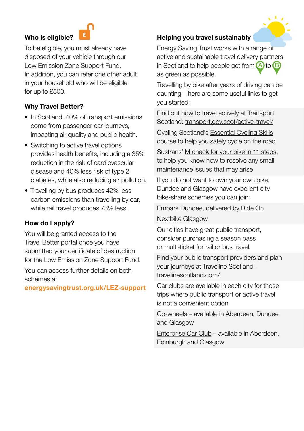#### **Who is eligible?**



To be eligible, you must already have disposed of your vehicle through our Low Emission Zone Support Fund. In addition, you can refer one other adult in your household who will be eligible for up to £500.

#### **Why Travel Better?**

- In Scotland, 40% of transport emissions come from passenger car journeys, impacting air quality and public health.
- Switching to active travel options provides health benefits, including a 35% reduction in the risk of cardiovascular disease and 40% less risk of type 2 diabetes, while also reducing air pollution.
- Travelling by bus produces 42% less carbon emissions than travelling by car, while rail travel produces 73% less.

#### **How do I apply?**

You will be granted access to the Travel Better portal once you have submitted your certificate of destruction for the Low Emission Zone Support Fund.

You can access further details on both schemes at

**[energysavingtrust.org.uk/LEZ-support](http://energysavingtrust.org.uk/LEZ-support)**

#### **Helping you travel sustainably**

Energy Saving Trust works with a range of active and sustainable travel delivery partners in Scotland to help people get from  $\bigcirc$  to  $\bigcirc$ as green as possible.

Travelling by bike after years of driving can be daunting – here are some useful links to get you started:

Find out how to travel actively at Transport Scotland: [transport.gov.scot/active-travel/](https://www.transport.gov.scot/active-travel/)

Cycling Scotland's [Essential Cycling Skills](https://www.cycling.scot/what-we-do/training/essential-cycling-skills) course to help you safely cycle on the road

Sustrans' [M check for your bike in 11 steps](https://www.sustrans.org.uk/our-blog/get-active/2019/everyday-walking-and-cycling/the-m-check-for-your-bike-in-11-steps), to help you know how to resolve any small maintenance issues that may arise

If you do not want to own your own bike, Dundee and Glasgow have excellent city bike-share schemes you can join:

Embark Dundee, delivered by [Ride On](https://rideondundee.com/) [Nextbike](https://www.nextbike.co.uk/en/glasgow/) Glasgow

Our cities have great public transport, consider purchasing a season pass or multi-ticket for rail or bus travel.

Find your public transport providers and plan your journeys at Traveline Scotland [travelinescotland.com/](http://travelinescotland.com/)

Car clubs are available in each city for those trips where public transport or active travel is not a convenient option:

[Co-wheels](https://www.co-wheels.org.uk/join) – available in Aberdeen, Dundee and Glasgow

[Enterprise Car Club](https://www.enterprisecarclub.co.uk/gb/en/home.html) – available in Aberdeen, Edinburgh and Glasgow